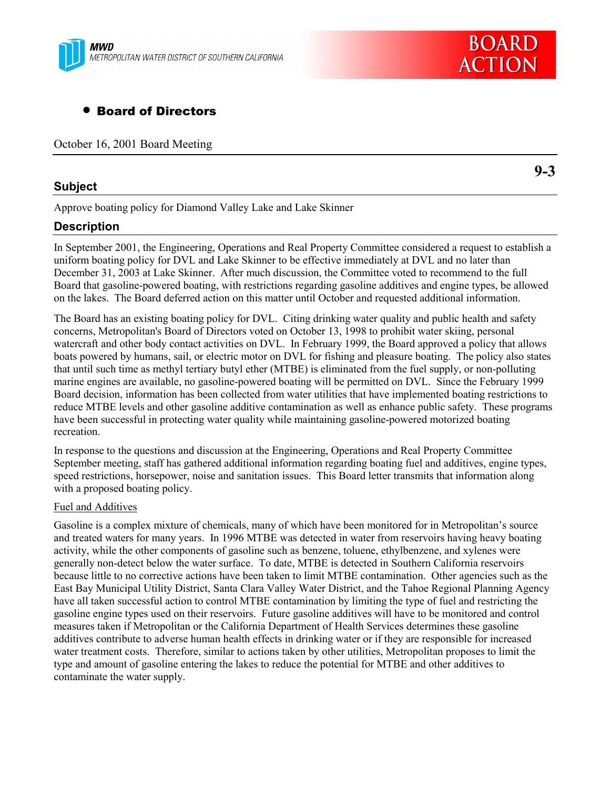

# • Board of Directors

October 16, 2001 Board Meeting

### **Subject**

**9-3**

Approve boating policy for Diamond Valley Lake and Lake Skinner

## **Description**

In September 2001, the Engineering, Operations and Real Property Committee considered a request to establish a uniform boating policy for DVL and Lake Skinner to be effective immediately at DVL and no later than December 31, 2003 at Lake Skinner. After much discussion, the Committee voted to recommend to the full Board that gasoline-powered boating, with restrictions regarding gasoline additives and engine types, be allowed on the lakes. The Board deferred action on this matter until October and requested additional information.

The Board has an existing boating policy for DVL. Citing drinking water quality and public health and safety concerns, Metropolitan's Board of Directors voted on October 13, 1998 to prohibit water skiing, personal watercraft and other body contact activities on DVL. In February 1999, the Board approved a policy that allows boats powered by humans, sail, or electric motor on DVL for fishing and pleasure boating. The policy also states that until such time as methyl tertiary butyl ether (MTBE) is eliminated from the fuel supply, or non-polluting marine engines are available, no gasoline-powered boating will be permitted on DVL. Since the February 1999 Board decision, information has been collected from water utilities that have implemented boating restrictions to reduce MTBE levels and other gasoline additive contamination as well as enhance public safety. These programs have been successful in protecting water quality while maintaining gasoline-powered motorized boating recreation.

In response to the questions and discussion at the Engineering, Operations and Real Property Committee September meeting, staff has gathered additional information regarding boating fuel and additives, engine types, speed restrictions, horsepower, noise and sanitation issues. This Board letter transmits that information along with a proposed boating policy.

### Fuel and Additives

Gasoline is a complex mixture of chemicals, many of which have been monitored for in Metropolitan's source and treated waters for many years. In 1996 MTBE was detected in water from reservoirs having heavy boating activity, while the other components of gasoline such as benzene, toluene, ethylbenzene, and xylenes were generally non-detect below the water surface. To date, MTBE is detected in Southern California reservoirs because little to no corrective actions have been taken to limit MTBE contamination. Other agencies such as the East Bay Municipal Utility District, Santa Clara Valley Water District, and the Tahoe Regional Planning Agency have all taken successful action to control MTBE contamination by limiting the type of fuel and restricting the gasoline engine types used on their reservoirs. Future gasoline additives will have to be monitored and control measures taken if Metropolitan or the California Department of Health Services determines these gasoline additives contribute to adverse human health effects in drinking water or if they are responsible for increased water treatment costs. Therefore, similar to actions taken by other utilities, Metropolitan proposes to limit the type and amount of gasoline entering the lakes to reduce the potential for MTBE and other additives to contaminate the water supply.

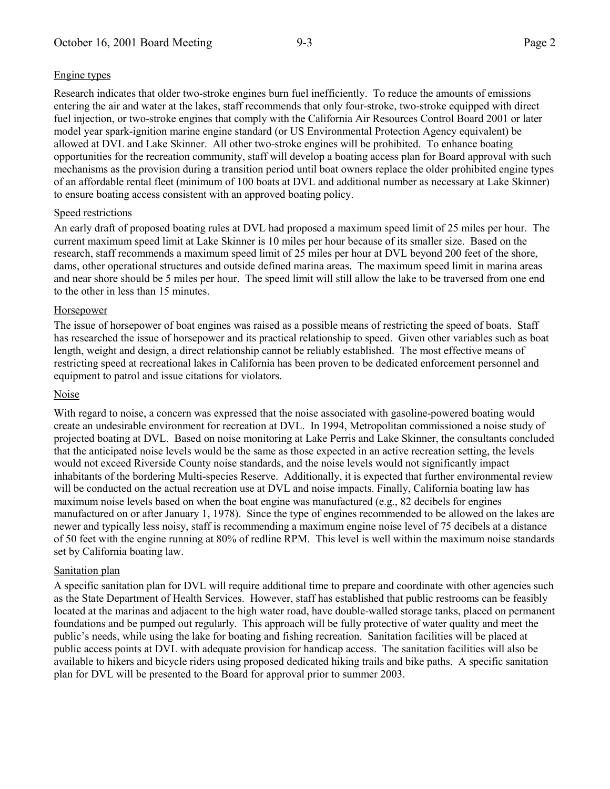### Engine types

Research indicates that older two-stroke engines burn fuel inefficiently. To reduce the amounts of emissions entering the air and water at the lakes, staff recommends that only four-stroke, two-stroke equipped with direct fuel injection, or two-stroke engines that comply with the California Air Resources Control Board 2001 or later model year spark-ignition marine engine standard (or US Environmental Protection Agency equivalent) be allowed at DVL and Lake Skinner. All other two-stroke engines will be prohibited. To enhance boating opportunities for the recreation community, staff will develop a boating access plan for Board approval with such mechanisms as the provision during a transition period until boat owners replace the older prohibited engine types of an affordable rental fleet (minimum of 100 boats at DVL and additional number as necessary at Lake Skinner) to ensure boating access consistent with an approved boating policy.

### Speed restrictions

An early draft of proposed boating rules at DVL had proposed a maximum speed limit of 25 miles per hour. The current maximum speed limit at Lake Skinner is 10 miles per hour because of its smaller size. Based on the research, staff recommends a maximum speed limit of 25 miles per hour at DVL beyond 200 feet of the shore, dams, other operational structures and outside defined marina areas. The maximum speed limit in marina areas and near shore should be 5 miles per hour. The speed limit will still allow the lake to be traversed from one end to the other in less than 15 minutes.

### Horsepower

The issue of horsepower of boat engines was raised as a possible means of restricting the speed of boats. Staff has researched the issue of horsepower and its practical relationship to speed. Given other variables such as boat length, weight and design, a direct relationship cannot be reliably established. The most effective means of restricting speed at recreational lakes in California has been proven to be dedicated enforcement personnel and equipment to patrol and issue citations for violators.

### Noise

With regard to noise, a concern was expressed that the noise associated with gasoline-powered boating would create an undesirable environment for recreation at DVL. In 1994, Metropolitan commissioned a noise study of projected boating at DVL. Based on noise monitoring at Lake Perris and Lake Skinner, the consultants concluded that the anticipated noise levels would be the same as those expected in an active recreation setting, the levels would not exceed Riverside County noise standards, and the noise levels would not significantly impact inhabitants of the bordering Multi-species Reserve. Additionally, it is expected that further environmental review will be conducted on the actual recreation use at DVL and noise impacts. Finally, California boating law has maximum noise levels based on when the boat engine was manufactured (e.g., 82 decibels for engines manufactured on or after January 1, 1978). Since the type of engines recommended to be allowed on the lakes are newer and typically less noisy, staff is recommending a maximum engine noise level of 75 decibels at a distance of 50 feet with the engine running at 80% of redline RPM. This level is well within the maximum noise standards set by California boating law.

### Sanitation plan

A specific sanitation plan for DVL will require additional time to prepare and coordinate with other agencies such as the State Department of Health Services. However, staff has established that public restrooms can be feasibly located at the marinas and adjacent to the high water road, have double-walled storage tanks, placed on permanent foundations and be pumped out regularly. This approach will be fully protective of water quality and meet the public's needs, while using the lake for boating and fishing recreation. Sanitation facilities will be placed at public access points at DVL with adequate provision for handicap access. The sanitation facilities will also be available to hikers and bicycle riders using proposed dedicated hiking trails and bike paths. A specific sanitation plan for DVL will be presented to the Board for approval prior to summer 2003.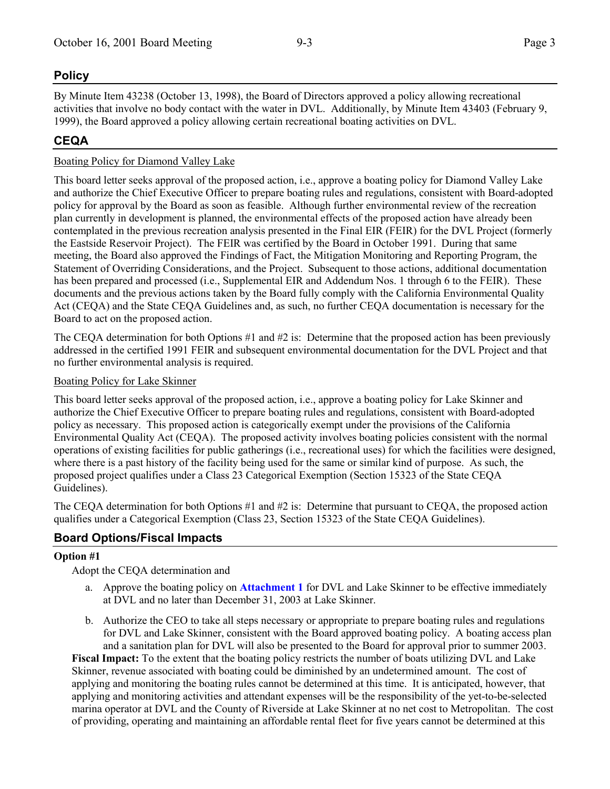## **Policy**

By Minute Item 43238 (October 13, 1998), the Board of Directors approved a policy allowing recreational activities that involve no body contact with the water in DVL. Additionally, by Minute Item 43403 (February 9, 1999), the Board approved a policy allowing certain recreational boating activities on DVL.

## **CEQA**

## Boating Policy for Diamond Valley Lake

This board letter seeks approval of the proposed action, i.e., approve a boating policy for Diamond Valley Lake and authorize the Chief Executive Officer to prepare boating rules and regulations, consistent with Board-adopted policy for approval by the Board as soon as feasible. Although further environmental review of the recreation plan currently in development is planned, the environmental effects of the proposed action have already been contemplated in the previous recreation analysis presented in the Final EIR (FEIR) for the DVL Project (formerly the Eastside Reservoir Project). The FEIR was certified by the Board in October 1991. During that same meeting, the Board also approved the Findings of Fact, the Mitigation Monitoring and Reporting Program, the Statement of Overriding Considerations, and the Project. Subsequent to those actions, additional documentation has been prepared and processed (i.e., Supplemental EIR and Addendum Nos. 1 through 6 to the FEIR). These documents and the previous actions taken by the Board fully comply with the California Environmental Quality Act (CEQA) and the State CEQA Guidelines and, as such, no further CEQA documentation is necessary for the Board to act on the proposed action.

The CEQA determination for both Options #1 and #2 is: Determine that the proposed action has been previously addressed in the certified 1991 FEIR and subsequent environmental documentation for the DVL Project and that no further environmental analysis is required.

## Boating Policy for Lake Skinner

This board letter seeks approval of the proposed action, i.e., approve a boating policy for Lake Skinner and authorize the Chief Executive Officer to prepare boating rules and regulations, consistent with Board-adopted policy as necessary. This proposed action is categorically exempt under the provisions of the California Environmental Quality Act (CEQA). The proposed activity involves boating policies consistent with the normal operations of existing facilities for public gatherings (i.e., recreational uses) for which the facilities were designed, where there is a past history of the facility being used for the same or similar kind of purpose. As such, the proposed project qualifies under a Class 23 Categorical Exemption (Section 15323 of the State CEQA Guidelines).

The CEQA determination for both Options #1 and #2 is: Determine that pursuant to CEQA, the proposed action qualifies under a Categorical Exemption (Class 23, Section 15323 of the State CEQA Guidelines).

## **Board Options/Fiscal Impacts**

## **Option #1**

Adopt the CEQA determination and

- a. Approve the boating policy on **Attachment 1** for DVL and Lake Skinner to be effective immediately at DVL and no later than December 31, 2003 at Lake Skinner.
- b. Authorize the CEO to take all steps necessary or appropriate to prepare boating rules and regulations for DVL and Lake Skinner, consistent with the Board approved boating policy. A boating access plan and a sanitation plan for DVL will also be presented to the Board for approval prior to summer 2003.

**Fiscal Impact:** To the extent that the boating policy restricts the number of boats utilizing DVL and Lake Skinner, revenue associated with boating could be diminished by an undetermined amount. The cost of applying and monitoring the boating rules cannot be determined at this time. It is anticipated, however, that applying and monitoring activities and attendant expenses will be the responsibility of the yet-to-be-selected marina operator at DVL and the County of Riverside at Lake Skinner at no net cost to Metropolitan. The cost of providing, operating and maintaining an affordable rental fleet for five years cannot be determined at this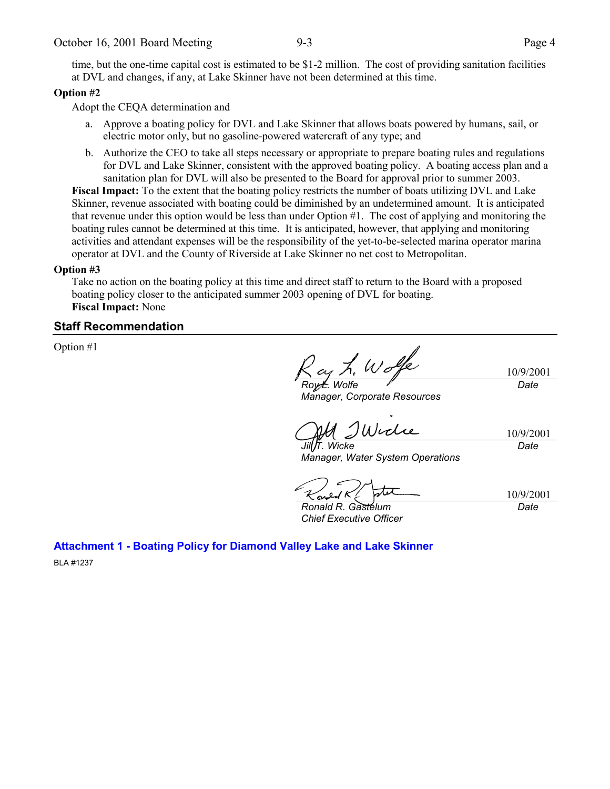time, but the one-time capital cost is estimated to be \$1-2 million. The cost of providing sanitation facilities at DVL and changes, if any, at Lake Skinner have not been determined at this time.

### **Option #2**

Adopt the CEQA determination and

- a. Approve a boating policy for DVL and Lake Skinner that allows boats powered by humans, sail, or electric motor only, but no gasoline-powered watercraft of any type; and
- b. Authorize the CEO to take all steps necessary or appropriate to prepare boating rules and regulations for DVL and Lake Skinner, consistent with the approved boating policy. A boating access plan and a sanitation plan for DVL will also be presented to the Board for approval prior to summer 2003.

**Fiscal Impact:** To the extent that the boating policy restricts the number of boats utilizing DVL and Lake Skinner, revenue associated with boating could be diminished by an undetermined amount. It is anticipated that revenue under this option would be less than under Option #1. The cost of applying and monitoring the boating rules cannot be determined at this time. It is anticipated, however, that applying and monitoring activities and attendant expenses will be the responsibility of the yet-to-be-selected marina operator marina operator at DVL and the County of Riverside at Lake Skinner no net cost to Metropolitan.

#### **Option #3**

Take no action on the boating policy at this time and direct staff to return to the Board with a proposed boating policy closer to the anticipated summer 2003 opening of DVL for boating. **Fiscal Impact:** None

## **Staff Recommendation**

Option #1

as h. Wolf 10/9/2001 *Roy L. Wolfe*

*Manager, Corporate Resources*

*Date*

10/9/2001 *Date*

*Jill T. Wicke Manager, Water System Operations*

10/9/2001 *Date*

*Ronald R. Gastelum Chief Executive Officer*

**Attachment 1 - Boating Policy for Diamond Valley Lake and Lake Skinner**

BLA #1237